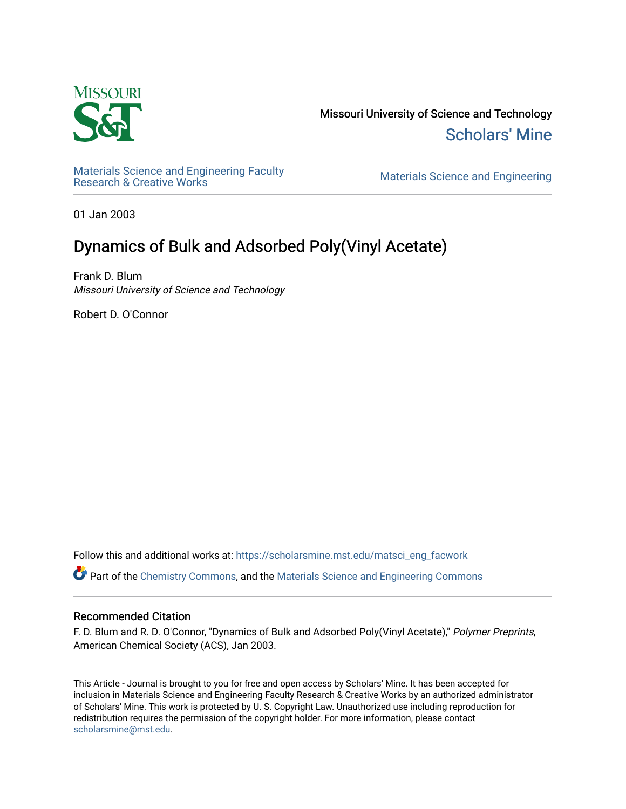

Missouri University of Science and Technology [Scholars' Mine](https://scholarsmine.mst.edu/) 

Materials Science and Engineering Faculty<br>Research & Creative Works

Materials Science and Engineering

01 Jan 2003

# Dynamics of Bulk and Adsorbed Poly(Vinyl Acetate)

Frank D. Blum Missouri University of Science and Technology

Robert D. O'Connor

Follow this and additional works at: [https://scholarsmine.mst.edu/matsci\\_eng\\_facwork](https://scholarsmine.mst.edu/matsci_eng_facwork?utm_source=scholarsmine.mst.edu%2Fmatsci_eng_facwork%2F1432&utm_medium=PDF&utm_campaign=PDFCoverPages) 

Part of the [Chemistry Commons,](http://network.bepress.com/hgg/discipline/131?utm_source=scholarsmine.mst.edu%2Fmatsci_eng_facwork%2F1432&utm_medium=PDF&utm_campaign=PDFCoverPages) and the [Materials Science and Engineering Commons](http://network.bepress.com/hgg/discipline/285?utm_source=scholarsmine.mst.edu%2Fmatsci_eng_facwork%2F1432&utm_medium=PDF&utm_campaign=PDFCoverPages)

### Recommended Citation

F. D. Blum and R. D. O'Connor, "Dynamics of Bulk and Adsorbed Poly(Vinyl Acetate)," Polymer Preprints, American Chemical Society (ACS), Jan 2003.

This Article - Journal is brought to you for free and open access by Scholars' Mine. It has been accepted for inclusion in Materials Science and Engineering Faculty Research & Creative Works by an authorized administrator of Scholars' Mine. This work is protected by U. S. Copyright Law. Unauthorized use including reproduction for redistribution requires the permission of the copyright holder. For more information, please contact [scholarsmine@mst.edu.](mailto:scholarsmine@mst.edu)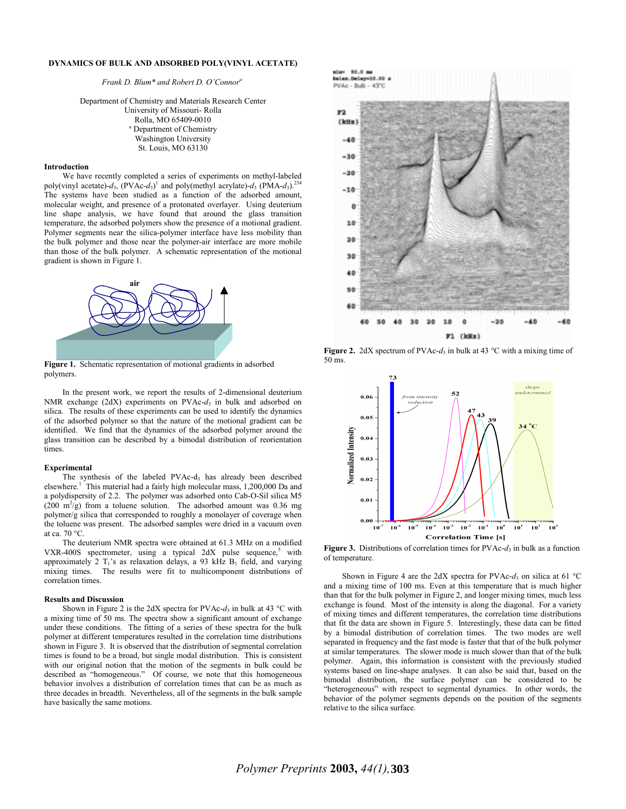#### **DYNAMICS OF BULK AND ADSORBED POLY(VINYL ACETATE)**

*Frank D. Blum\* and Robert D. O'Connor<sup>a</sup>*

Department of Chemistry and Materials Research Center University of Missouri- Rolla Rolla, MO 65409-0010

> <sup>a</sup> Department of Chemistry Washington University St. Louis, MO 63130

## **Introduction**

We have recently completed a series of experiments on methyl-labeled poly(vinyl acetate)-*d*3, (PVAc-*d*3) 1 and poly(methyl acrylate)-*d*3 (PMA-*d*3).234 The systems have been studied as a function of the adsorbed amount, molecular weight, and presence of a protonated overlayer. Using deuterium line shape analysis, we have found that around the glass transition temperature, the adsorbed polymers show the presence of a motional gradient. Polymer segments near the silica-polymer interface have less mobility than the bulk polymer and those near the polymer-air interface are more mobile than those of the bulk polymer. A schematic representation of the motional gradient is shown in Figure 1.



**Figure 1.** Schematic representation of motional gradients in adsorbed polymers.

In the present work, we report the results of 2-dimensional deuterium NMR exchange  $(2dX)$  experiments on PVAc- $d_3$  in bulk and adsorbed on silica. The results of these experiments can be used to identify the dynamics of the adsorbed polymer so that the nature of the motional gradient can be identified. We find that the dynamics of the adsorbed polymer around the glass transition can be described by a bimodal distribution of reorientation times.

#### **Experimental**

The synthesis of the labeled PVAc-d<sub>3</sub> has already been described elsewhere.<sup>1</sup> This material had a fairly high molecular mass, 1,200,000 Da and a polydispersity of 2.2. The polymer was adsorbed onto Cab-O-Sil silica M5  $(200 \text{ m}^2/\text{g})$  from a toluene solution. The adsorbed amount was 0.36 mg polymer/g silica that corresponded to roughly a monolayer of coverage when the toluene was present. The adsorbed samples were dried in a vacuum oven at ca. 70 °C.

The deuterium NMR spectra were obtained at 61.3 MHz on a modified VXR-400S spectrometer, using a typical  $2dX$  pulse sequence,<sup>5</sup> with approximately 2  $T_1$ 's as relaxation delays, a 93 kHz  $B_1$  field, and varying mixing times. The results were fit to multicomponent distributions of correlation times.

#### **Results and Discussion**

Shown in Figure 2 is the 2dX spectra for PVAc- $d_3$  in bulk at 43 °C with a mixing time of 50 ms. The spectra show a significant amount of exchange under these conditions. The fitting of a series of these spectra for the bulk polymer at different temperatures resulted in the correlation time distributions shown in Figure 3. It is observed that the distribution of segmental correlation times is found to be a broad, but single modal distribution. This is consistent with our original notion that the motion of the segments in bulk could be described as "homogeneous." Of course, we note that this homogeneous behavior involves a distribution of correlation times that can be as much as three decades in breadth. Nevertheless, all of the segments in the bulk sample have basically the same motions.



**Figure 2.** 2dX spectrum of PVAc- $d_3$  in bulk at 43 °C with a mixing time of 50 ms.



**Figure 3.** Distributions of correlation times for PVAc- $d_3$  in bulk as a function of temperature.

Shown in Figure 4 are the 2dX spectra for PVAc- $d_3$  on silica at 61 °C and a mixing time of 100 ms. Even at this temperature that is much higher than that for the bulk polymer in Figure 2, and longer mixing times, much less exchange is found. Most of the intensity is along the diagonal. For a variety of mixing times and different temperatures, the correlation time distributions that fit the data are shown in Figure 5. Interestingly, these data can be fitted by a bimodal distribution of correlation times. The two modes are well separated in frequency and the fast mode is faster that that of the bulk polymer at similar temperatures. The slower mode is much slower than that of the bulk polymer. Again, this information is consistent with the previously studied systems based on line-shape analyses. It can also be said that, based on the bimodal distribution, the surface polymer can be considered to be "heterogeneous" with respect to segmental dynamics. In other words, the behavior of the polymer segments depends on the position of the segments relative to the silica surface.